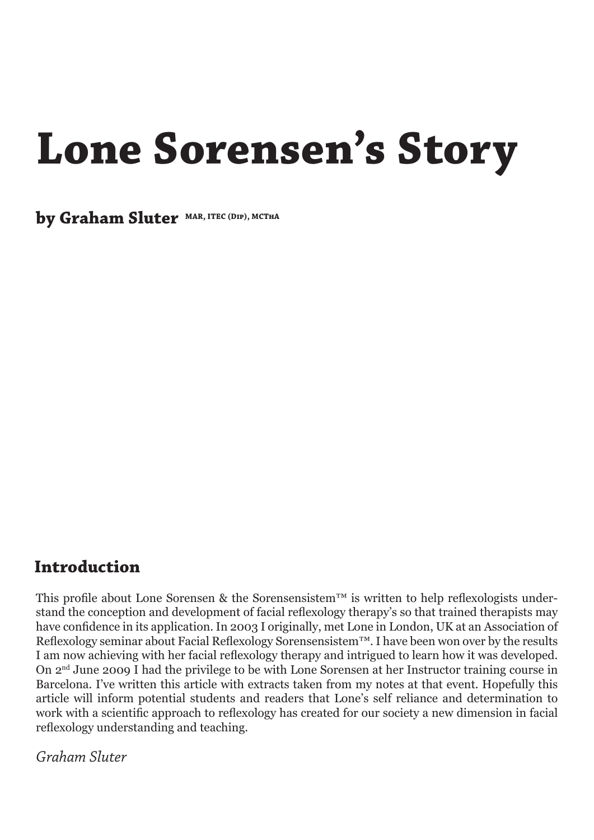## **Lone Sorensen's Story**

**by Graham Sluter MAR, ITEC (Dip), MCThA**

## **Introduction**

This profile about Lone Sorensen & the Sorensensistem™ is written to help reflexologists understand the conception and development of facial reflexology therapy's so that trained therapists may have confidence in its application. In 2003 I originally, met Lone in London, UK at an Association of Reflexology seminar about Facial Reflexology Sorensensistem™. I have been won over by the results I am now achieving with her facial reflexology therapy and intrigued to learn how it was developed. On 2nd June 2009 I had the privilege to be with Lone Sorensen at her Instructor training course in Barcelona. I've written this article with extracts taken from my notes at that event. Hopefully this article will inform potential students and readers that Lone's self reliance and determination to work with a scientific approach to reflexology has created for our society a new dimension in facial reflexology understanding and teaching.

*Graham Sluter*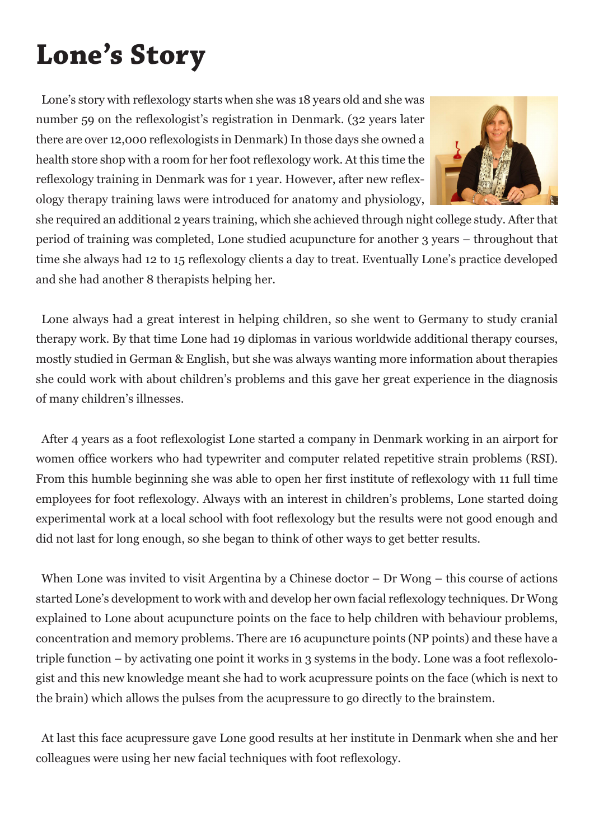## **Lone's Story**

Lone's story with reflexology starts when she was 18 years old and she was number 59 on the reflexologist's registration in Denmark. (32 years later there are over 12,000 reflexologists in Denmark) In those days she owned a health store shop with a room for her foot reflexology work. At this time the reflexology training in Denmark was for 1 year. However, after new reflexology therapy training laws were introduced for anatomy and physiology,



she required an additional 2 years training, which she achieved through night college study. After that period of training was completed, Lone studied acupuncture for another 3 years – throughout that time she always had 12 to 15 reflexology clients a day to treat. Eventually Lone's practice developed and she had another 8 therapists helping her.

Lone always had a great interest in helping children, so she went to Germany to study cranial therapy work. By that time Lone had 19 diplomas in various worldwide additional therapy courses, mostly studied in German & English, but she was always wanting more information about therapies she could work with about children's problems and this gave her great experience in the diagnosis of many children's illnesses.

After 4 years as a foot reflexologist Lone started a company in Denmark working in an airport for women office workers who had typewriter and computer related repetitive strain problems (RSI). From this humble beginning she was able to open her first institute of reflexology with 11 full time employees for foot reflexology. Always with an interest in children's problems, Lone started doing experimental work at a local school with foot reflexology but the results were not good enough and did not last for long enough, so she began to think of other ways to get better results.

When Lone was invited to visit Argentina by a Chinese doctor – Dr Wong – this course of actions started Lone's development to work with and develop her own facial reflexology techniques. Dr Wong explained to Lone about acupuncture points on the face to help children with behaviour problems, concentration and memory problems. There are 16 acupuncture points (NP points) and these have a triple function – by activating one point it works in 3 systems in the body. Lone was a foot reflexologist and this new knowledge meant she had to work acupressure points on the face (which is next to the brain) which allows the pulses from the acupressure to go directly to the brainstem.

At last this face acupressure gave Lone good results at her institute in Denmark when she and her colleagues were using her new facial techniques with foot reflexology.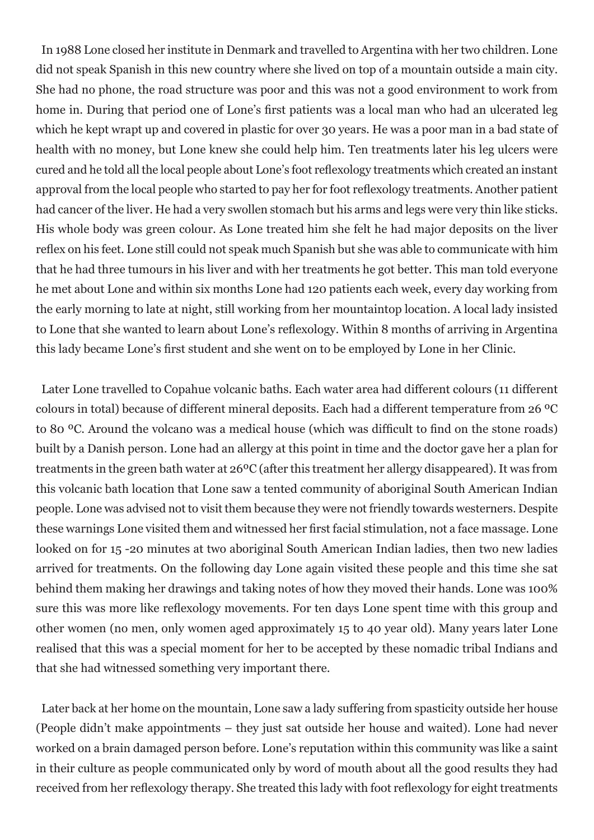In 1988 Lone closed her institute in Denmark and travelled to Argentina with her two children. Lone did not speak Spanish in this new country where she lived on top of a mountain outside a main city. She had no phone, the road structure was poor and this was not a good environment to work from home in. During that period one of Lone's first patients was a local man who had an ulcerated leg which he kept wrapt up and covered in plastic for over 30 years. He was a poor man in a bad state of health with no money, but Lone knew she could help him. Ten treatments later his leg ulcers were cured and he told all the local people about Lone's foot reflexology treatments which created an instant approval from the local people who started to pay her for foot reflexology treatments. Another patient had cancer of the liver. He had a very swollen stomach but his arms and legs were very thin like sticks. His whole body was green colour. As Lone treated him she felt he had major deposits on the liver reflex on his feet. Lone still could not speak much Spanish but she was able to communicate with him that he had three tumours in his liver and with her treatments he got better. This man told everyone he met about Lone and within six months Lone had 120 patients each week, every day working from the early morning to late at night, still working from her mountaintop location. A local lady insisted to Lone that she wanted to learn about Lone's reflexology. Within 8 months of arriving in Argentina this lady became Lone's first student and she went on to be employed by Lone in her Clinic.

Later Lone travelled to Copahue volcanic baths. Each water area had different colours (11 different colours in total) because of different mineral deposits. Each had a different temperature from 26 ºC to 80 ºC. Around the volcano was a medical house (which was difficult to find on the stone roads) built by a Danish person. Lone had an allergy at this point in time and the doctor gave her a plan for treatments in the green bath water at 26ºC (after this treatment her allergy disappeared). It was from this volcanic bath location that Lone saw a tented community of aboriginal South American Indian people. Lone was advised not to visit them because they were not friendly towards westerners. Despite these warnings Lone visited them and witnessed her first facial stimulation, not a face massage. Lone looked on for 15 -20 minutes at two aboriginal South American Indian ladies, then two new ladies arrived for treatments. On the following day Lone again visited these people and this time she sat behind them making her drawings and taking notes of how they moved their hands. Lone was 100% sure this was more like reflexology movements. For ten days Lone spent time with this group and other women (no men, only women aged approximately 15 to 40 year old). Many years later Lone realised that this was a special moment for her to be accepted by these nomadic tribal Indians and that she had witnessed something very important there.

Later back at her home on the mountain, Lone saw a lady suffering from spasticity outside her house (People didn't make appointments – they just sat outside her house and waited). Lone had never worked on a brain damaged person before. Lone's reputation within this community was like a saint in their culture as people communicated only by word of mouth about all the good results they had received from her reflexology therapy. She treated this lady with foot reflexology for eight treatments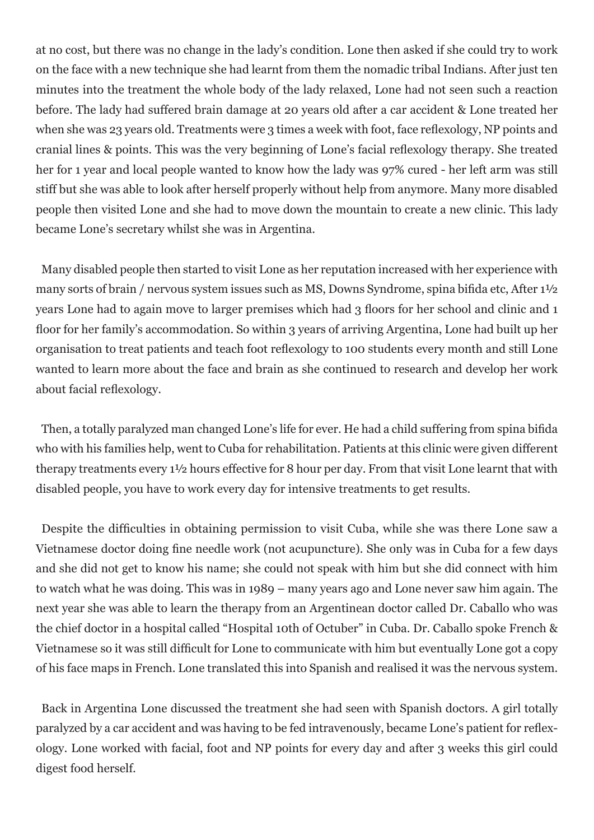at no cost, but there was no change in the lady's condition. Lone then asked if she could try to work on the face with a new technique she had learnt from them the nomadic tribal Indians. After just ten minutes into the treatment the whole body of the lady relaxed, Lone had not seen such a reaction before. The lady had suffered brain damage at 20 years old after a car accident & Lone treated her when she was 23 years old. Treatments were 3 times a week with foot, face reflexology, NP points and cranial lines & points. This was the very beginning of Lone's facial reflexology therapy. She treated her for 1 year and local people wanted to know how the lady was 97% cured - her left arm was still stiff but she was able to look after herself properly without help from anymore. Many more disabled people then visited Lone and she had to move down the mountain to create a new clinic. This lady became Lone's secretary whilst she was in Argentina.

Many disabled people then started to visit Lone as her reputation increased with her experience with many sorts of brain / nervous system issues such as MS, Downs Syndrome, spina bifida etc, After 1½ years Lone had to again move to larger premises which had 3 floors for her school and clinic and 1 floor for her family's accommodation. So within 3 years of arriving Argentina, Lone had built up her organisation to treat patients and teach foot reflexology to 100 students every month and still Lone wanted to learn more about the face and brain as she continued to research and develop her work about facial reflexology.

Then, a totally paralyzed man changed Lone's life for ever. He had a child suffering from spina bifida who with his families help, went to Cuba for rehabilitation. Patients at this clinic were given different therapy treatments every 1½ hours effective for 8 hour per day. From that visit Lone learnt that with disabled people, you have to work every day for intensive treatments to get results.

Despite the difficulties in obtaining permission to visit Cuba, while she was there Lone saw a Vietnamese doctor doing fine needle work (not acupuncture). She only was in Cuba for a few days and she did not get to know his name; she could not speak with him but she did connect with him to watch what he was doing. This was in 1989 – many years ago and Lone never saw him again. The next year she was able to learn the therapy from an Argentinean doctor called Dr. Caballo who was the chief doctor in a hospital called "Hospital 10th of Octuber" in Cuba. Dr. Caballo spoke French & Vietnamese so it was still difficult for Lone to communicate with him but eventually Lone got a copy of his face maps in French. Lone translated this into Spanish and realised it was the nervous system.

Back in Argentina Lone discussed the treatment she had seen with Spanish doctors. A girl totally paralyzed by a car accident and was having to be fed intravenously, became Lone's patient for reflexology. Lone worked with facial, foot and NP points for every day and after 3 weeks this girl could digest food herself.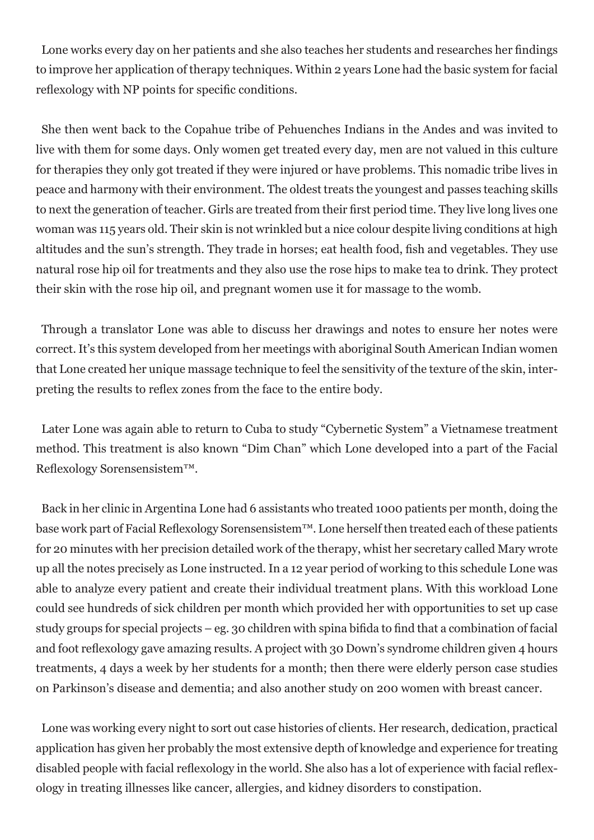Lone works every day on her patients and she also teaches her students and researches her findings to improve her application of therapy techniques. Within 2 years Lone had the basic system for facial reflexology with NP points for specific conditions.

She then went back to the Copahue tribe of Pehuenches Indians in the Andes and was invited to live with them for some days. Only women get treated every day, men are not valued in this culture for therapies they only got treated if they were injured or have problems. This nomadic tribe lives in peace and harmony with their environment. The oldest treats the youngest and passes teaching skills to next the generation of teacher. Girls are treated from their first period time. They live long lives one woman was 115 years old. Their skin is not wrinkled but a nice colour despite living conditions at high altitudes and the sun's strength. They trade in horses; eat health food, fish and vegetables. They use natural rose hip oil for treatments and they also use the rose hips to make tea to drink. They protect their skin with the rose hip oil, and pregnant women use it for massage to the womb.

Through a translator Lone was able to discuss her drawings and notes to ensure her notes were correct. It's this system developed from her meetings with aboriginal South American Indian women that Lone created her unique massage technique to feel the sensitivity of the texture of the skin, interpreting the results to reflex zones from the face to the entire body.

Later Lone was again able to return to Cuba to study "Cybernetic System" a Vietnamese treatment method. This treatment is also known "Dim Chan" which Lone developed into a part of the Facial Reflexology Sorensensistem™.

Back in her clinic in Argentina Lone had 6 assistants who treated 1000 patients per month, doing the base work part of Facial Reflexology Sorensensistem™. Lone herself then treated each of these patients for 20 minutes with her precision detailed work of the therapy, whist her secretary called Mary wrote up all the notes precisely as Lone instructed. In a 12 year period of working to this schedule Lone was able to analyze every patient and create their individual treatment plans. With this workload Lone could see hundreds of sick children per month which provided her with opportunities to set up case study groups for special projects – eg. 30 children with spina bifida to find that a combination of facial and foot reflexology gave amazing results. A project with 30 Down's syndrome children given 4 hours treatments, 4 days a week by her students for a month; then there were elderly person case studies on Parkinson's disease and dementia; and also another study on 200 women with breast cancer.

Lone was working every night to sort out case histories of clients. Her research, dedication, practical application has given her probably the most extensive depth of knowledge and experience for treating disabled people with facial reflexology in the world. She also has a lot of experience with facial reflexology in treating illnesses like cancer, allergies, and kidney disorders to constipation.